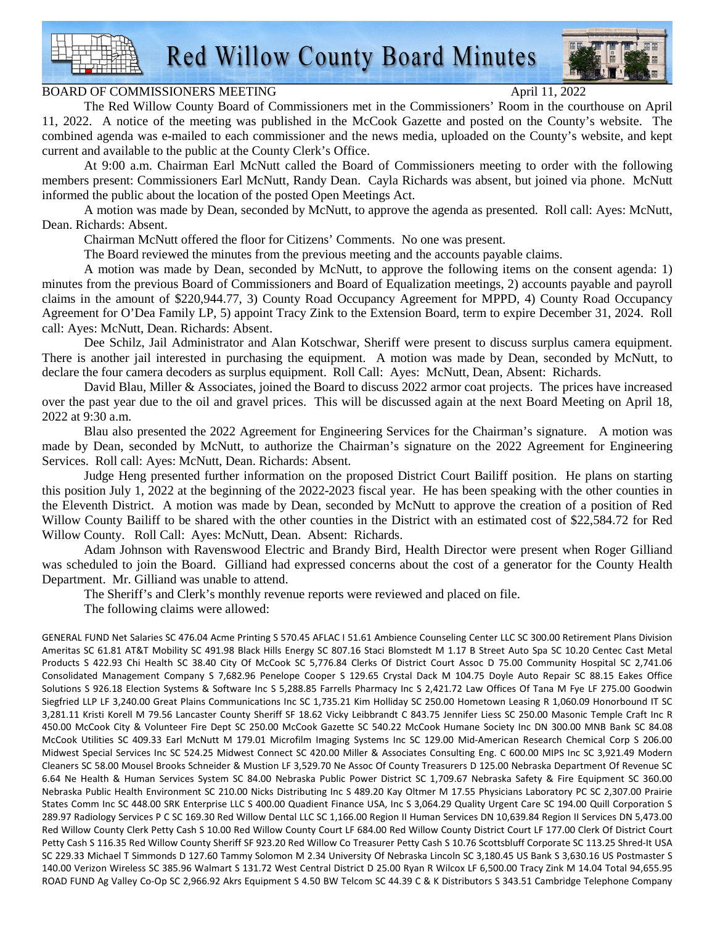Red Willow County Board Minutes

## BOARD OF COMMISSIONERS MEETING April 11, 2022

The Red Willow County Board of Commissioners met in the Commissioners' Room in the courthouse on April 11, 2022. A notice of the meeting was published in the McCook Gazette and posted on the County's website. The combined agenda was e-mailed to each commissioner and the news media, uploaded on the County's website, and kept current and available to the public at the County Clerk's Office.

At 9:00 a.m. Chairman Earl McNutt called the Board of Commissioners meeting to order with the following members present: Commissioners Earl McNutt, Randy Dean. Cayla Richards was absent, but joined via phone. McNutt informed the public about the location of the posted Open Meetings Act.

A motion was made by Dean, seconded by McNutt, to approve the agenda as presented. Roll call: Ayes: McNutt, Dean. Richards: Absent.

Chairman McNutt offered the floor for Citizens' Comments. No one was present.

The Board reviewed the minutes from the previous meeting and the accounts payable claims.

A motion was made by Dean, seconded by McNutt, to approve the following items on the consent agenda: 1) minutes from the previous Board of Commissioners and Board of Equalization meetings, 2) accounts payable and payroll claims in the amount of \$220,944.77, 3) County Road Occupancy Agreement for MPPD, 4) County Road Occupancy Agreement for O'Dea Family LP, 5) appoint Tracy Zink to the Extension Board, term to expire December 31, 2024. Roll call: Ayes: McNutt, Dean. Richards: Absent.

Dee Schilz, Jail Administrator and Alan Kotschwar, Sheriff were present to discuss surplus camera equipment. There is another jail interested in purchasing the equipment. A motion was made by Dean, seconded by McNutt, to declare the four camera decoders as surplus equipment. Roll Call: Ayes: McNutt, Dean, Absent: Richards.

David Blau, Miller & Associates, joined the Board to discuss 2022 armor coat projects. The prices have increased over the past year due to the oil and gravel prices. This will be discussed again at the next Board Meeting on April 18, 2022 at 9:30 a.m.

Blau also presented the 2022 Agreement for Engineering Services for the Chairman's signature. A motion was made by Dean, seconded by McNutt, to authorize the Chairman's signature on the 2022 Agreement for Engineering Services. Roll call: Ayes: McNutt, Dean. Richards: Absent.

Judge Heng presented further information on the proposed District Court Bailiff position. He plans on starting this position July 1, 2022 at the beginning of the 2022-2023 fiscal year. He has been speaking with the other counties in the Eleventh District. A motion was made by Dean, seconded by McNutt to approve the creation of a position of Red Willow County Bailiff to be shared with the other counties in the District with an estimated cost of \$22,584.72 for Red Willow County. Roll Call: Ayes: McNutt, Dean. Absent: Richards.

Adam Johnson with Ravenswood Electric and Brandy Bird, Health Director were present when Roger Gilliand was scheduled to join the Board. Gilliand had expressed concerns about the cost of a generator for the County Health Department. Mr. Gilliand was unable to attend.

The Sheriff's and Clerk's monthly revenue reports were reviewed and placed on file.

The following claims were allowed:

GENERAL FUND Net Salaries SC 476.04 Acme Printing S 570.45 AFLAC I 51.61 Ambience Counseling Center LLC SC 300.00 Retirement Plans Division Ameritas SC 61.81 AT&T Mobility SC 491.98 Black Hills Energy SC 807.16 Staci Blomstedt M 1.17 B Street Auto Spa SC 10.20 Centec Cast Metal Products S 422.93 Chi Health SC 38.40 City Of McCook SC 5,776.84 Clerks Of District Court Assoc D 75.00 Community Hospital SC 2,741.06 Consolidated Management Company S 7,682.96 Penelope Cooper S 129.65 Crystal Dack M 104.75 Doyle Auto Repair SC 88.15 Eakes Office Solutions S 926.18 Election Systems & Software Inc S 5,288.85 Farrells Pharmacy Inc S 2,421.72 Law Offices Of Tana M Fye LF 275.00 Goodwin Siegfried LLP LF 3,240.00 Great Plains Communications Inc SC 1,735.21 Kim Holliday SC 250.00 Hometown Leasing R 1,060.09 Honorbound IT SC 3,281.11 Kristi Korell M 79.56 Lancaster County Sheriff SF 18.62 Vicky Leibbrandt C 843.75 Jennifer Liess SC 250.00 Masonic Temple Craft Inc R 450.00 McCook City & Volunteer Fire Dept SC 250.00 McCook Gazette SC 540.22 McCook Humane Society Inc DN 300.00 MNB Bank SC 84.08 McCook Utilities SC 409.33 Earl McNutt M 179.01 Microfilm Imaging Systems Inc SC 129.00 Mid-American Research Chemical Corp S 206.00 Midwest Special Services Inc SC 524.25 Midwest Connect SC 420.00 Miller & Associates Consulting Eng. C 600.00 MIPS Inc SC 3,921.49 Modern Cleaners SC 58.00 Mousel Brooks Schneider & Mustion LF 3,529.70 Ne Assoc Of County Treasurers D 125.00 Nebraska Department Of Revenue SC 6.64 Ne Health & Human Services System SC 84.00 Nebraska Public Power District SC 1,709.67 Nebraska Safety & Fire Equipment SC 360.00 Nebraska Public Health Environment SC 210.00 Nicks Distributing Inc S 489.20 Kay Oltmer M 17.55 Physicians Laboratory PC SC 2,307.00 Prairie States Comm Inc SC 448.00 SRK Enterprise LLC S 400.00 Quadient Finance USA, Inc S 3,064.29 Quality Urgent Care SC 194.00 Quill Corporation S 289.97 Radiology Services P C SC 169.30 Red Willow Dental LLC SC 1,166.00 Region II Human Services DN 10,639.84 Region II Services DN 5,473.00 Red Willow County Clerk Petty Cash S 10.00 Red Willow County Court LF 684.00 Red Willow County District Court LF 177.00 Clerk Of District Court Petty Cash S 116.35 Red Willow County Sheriff SF 923.20 Red Willow Co Treasurer Petty Cash S 10.76 Scottsbluff Corporate SC 113.25 Shred-It USA SC 229.33 Michael T Simmonds D 127.60 Tammy Solomon M 2.34 University Of Nebraska Lincoln SC 3,180.45 US Bank S 3,630.16 US Postmaster S 140.00 Verizon Wireless SC 385.96 Walmart S 131.72 West Central District D 25.00 Ryan R Wilcox LF 6,500.00 Tracy Zink M 14.04 Total 94,655.95 ROAD FUND Ag Valley Co-Op SC 2,966.92 Akrs Equipment S 4.50 BW Telcom SC 44.39 C & K Distributors S 343.51 Cambridge Telephone Company